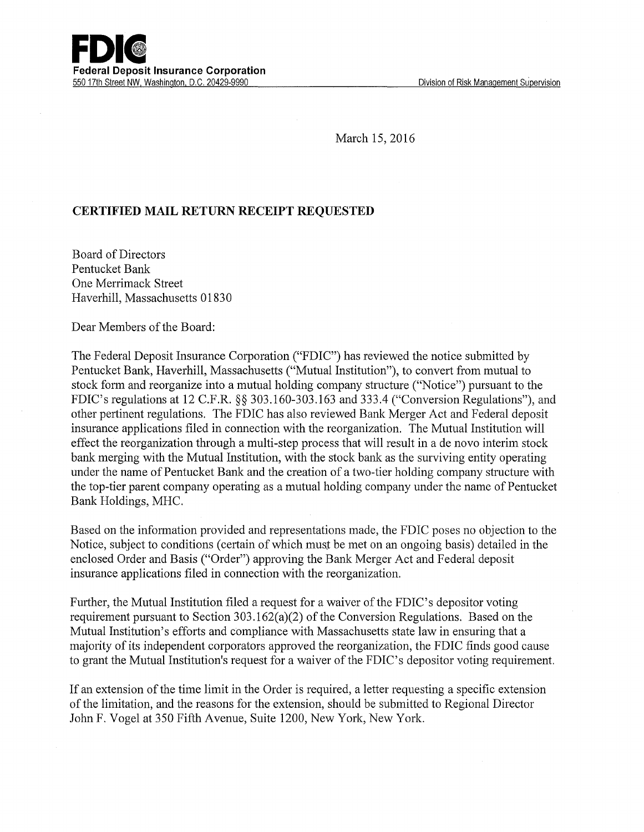

March 15, 2016

## **CERTIFIED MAIL RETURN RECEIPT REQUESTED**

Board of Directors Pentucket Bank One Merrimack Street Haverhill, Massachusetts 01830

Dear Members of the Board:

The Federal Deposit Insurance Corporation ("FDIC") has reviewed the notice submitted by Pentucket Bank, Haverhill, Massachusetts ("Mutual Institution"), to convert from mutual to stock form and reorganize into a mutual holding company structure ("Notice") pursuant to the FDIC's regulations at 12 C.P.R. §§ 303.160-303.163 and 333.4 ("Conversion Regulations"), and other pertinent regulations. The FDIC has also reviewed Bank Merger Act and Federal deposit insurance applications filed in connection with the reorganization. The Mutual Institution will effect the reorganization through a multi-step process that will result in a de novo interim stock bank merging with the Mutual Institution, with the stock bank as the surviving entity operating under the name of Pentucket Bank and the creation of a two-tier holding company structure with the top-tier parent company operating as a mutual holding company under the name of Pentucket Bank Holdings, MHC.

Based on the information provided and representations made, the FDIC poses no objection to the Notice, subject to conditions (certain of which must be met on an ongoing basis) detailed in the enclosed Order and Basis ("Order") approving the Bank Merger Act and Federal deposit insurance applications filed in connection with the reorganization.

Further, the Mutual Institution filed a request for a waiver of the FDIC's depositor voting requirement pursuant to Section 303.162(a)(2) of the Conversion Regulations. Based on the Mutual Institution's efforts and compliance with Massachusetts state law in ensuring that a majority of its independent corporators approved the reorganization, the FDIC finds good cause to grant the Mutual Institution's request for a waiver of the FDIC's depositor voting requirement.

If an extension of the time limit in the Order is required, a letter requesting a specific extension of the limitation, and the reasons for the extension, should be submitted to Regional Director John F. Vogel at 350 Fifth Avenue, Suite 1200, New York, New York.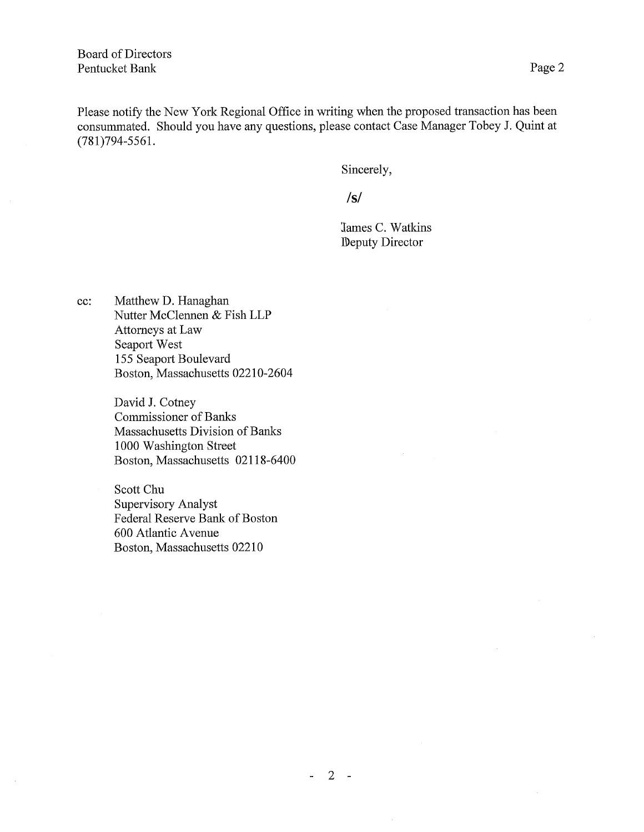Please notify the New York Regional Office in writing when the proposed transaction has been consummated. Should you have any questions, please contact Case Manager Tobey J. Quint at (781)794-5561.

Sincerely,

**/s/**

ames C. Watkins Deputy Director

cc: Matthew D. Hanaghan Nutter McClennen & Fish LLP Attorneys at Law Seaport West 155 Seaport Boulevard Boston, Massachusetts 02210-2604

> David J. Cotney Commissioner of Banks Massachusetts Division of Banks 1000 Washington Street Boston, Massachusetts 02118-6400

Scott Chu Supervisory Analyst Federal Reserve Bank of Boston 600 Atlantic Avenue Boston, Massachusetts 02210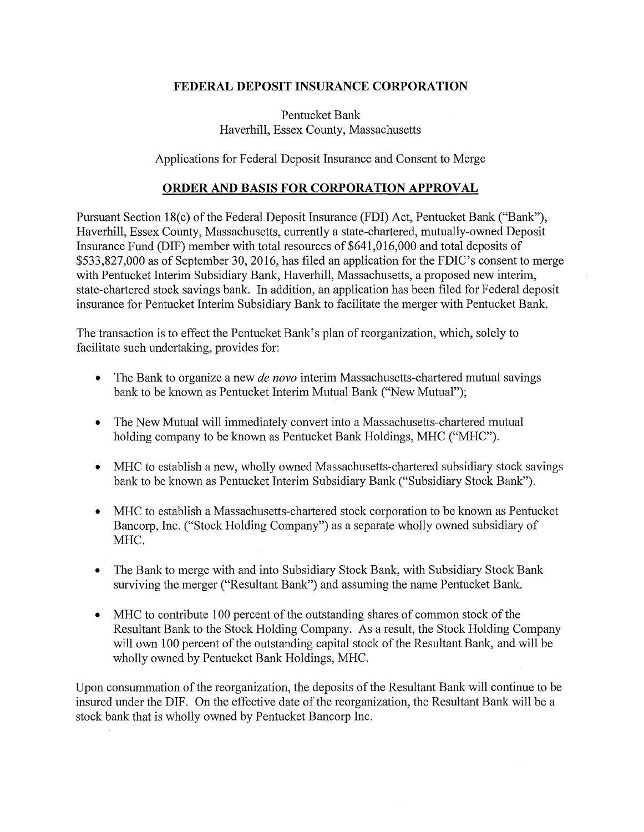## **FEDERAL DEPOSIT INSURANCE CORPORATION**

Pentucket Bank Haverhill, Essex County, Massachusetts

Applications for Federal Deposit Insurance and Consent to Merge

## **ORDER AND BASIS FOR CORPORATION APPROVAL**

Pursuant Section 18(c) of the Federal Deposit Insurance (FDI) Act, Pentucket Bank ("Bank"), Haverhill, Essex County, Massachusetts, currently a state-chartered, mutually-owned Deposit Insurance Fund (DIF) member with total resources of \$641,016,000 and total deposits of \$533,827,000 as of September 30, 2016, has filed an application for the FDIC's consent to merge with Pentucket Interim Subsidiary Bank, Haverhill, Massachusetts, a proposed new interim, state-chartered stock savings bank. In addition, an application has been filed for Federal deposit insurance for Pentucket Interim Subsidiary Bank to facilitate the merger with Pentucket Bank.

The transaction is to effect the Pentucket Bank's plan of reorganization, which, solely to facilitate such undertaking, provides for:

- The Bank to organize a new *de novo* interim Massachusetts-chartered mutual savings bank to be known as Pentucket Interim Mutual Bank ("New Mutual");
- The New Mutual will immediately convert into a Massachusetts-chartered mutual holding company to be known as Pentucket Bank Holdings, MHC ("MHC").
- MHC to establish a new, wholly owned Massachusetts-chartered subsidiary stock savings bank to be known as Pentucket Interim Subsidiary Bank ("Subsidiary Stock Bank").
- MHC to establish a Massachusetts-chartered stock corporation to be known as Pentucket Bancorp, Inc. ("Stock Holding Company") as a separate wholly owned subsidiary of MHC.
- The Bank to merge with and into Subsidiary Stock Bank, with Subsidiary Stock Bank surviving the merger ("Resultant Bank") and assuming the name Pentucket Bank.
- MHC to contribute 100 percent of the outstanding shares of common stock of the Resultant Bank to the Stock Holding Company. As a result, the Stock Holding Company will own 100 percent of the outstanding capital stock of the Resultant Bank, and will be wholly owned by Pentucket Bank Holdings, MHC.

Upon consummation of the reorganization, the deposits of the Resultant Bank will continue to be insured under the DIF. On the effective date of the reorganization, the Resultant Bank will be a stock bank that is wholly owned by Pentucket Bancorp Inc.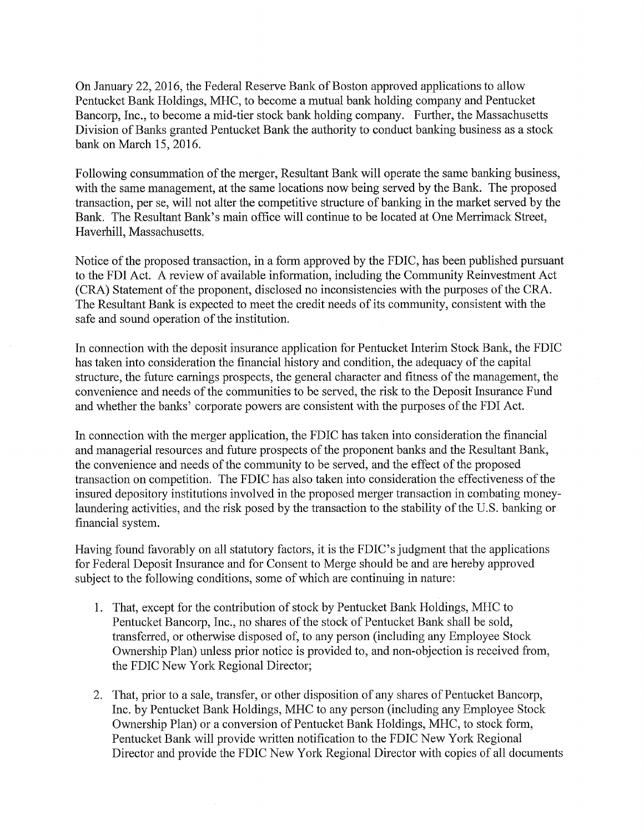On January 22, 2016, the Federal Reserve Bank of Boston approved applications to allow Pentucket Bank Holdings, MHC, to become a mutual bank holding company and Pentucket Bancorp, Inc., to become a mid-tier stock bank holding company. Further, the Massachusetts Division of Banks granted Pentucket Bank the authority to conduct banking business as a stock bank on March 15, 2016.

Following consummation of the merger, Resultant Bank will operate the same banking business, with the same management, at the same locations now being served by the Bank. The proposed transaction, per se, will not alter the competitive structure of banking in the market served by the Bank. The Resultant Bank's main office will continue to be located at One Merrimack Street, Haverhill, Massachusetts.

Notice of the proposed transaction, in a form approved by the FDIC, has been published pursuant to the FDI Act. A review of available information, including the Community Reinvestment Act (CRA) Statement of the proponent, disclosed no inconsistencies with the purposes of the CRA. The Resultant Bank is expected to meet the credit needs of its community, consistent with the safe and sound operation of the institution.

In connection with the deposit insurance application for Pentucket Interim Stock Bank, the FDIC has taken into consideration the financial history and condition, the adequacy of the capital structure, the future earnings prospects, the general character and fitness of the management, the convenience and needs of the communities to be served, the risk to the Deposit Insurance Fund and whether the banks' corporate powers are consistent with the purposes of the FDI Act.

In connection with the merger application, the FDIC has taken into consideration the financial and managerial resources and future prospects of the proponent banks and the Resultant Bank, the convenience and needs of the community to be served, and the effect of the proposed transaction on competition. The FDIC has also taken into consideration the effectiveness of the insured depository institutions involved in the proposed merger transaction in combating moneylaundering activities, and the risk posed by the transaction to the stability of the U.S. banking or financial system.

Having found favorably on all statutory factors, it is the FDIC's judgment that the applications for Federal Deposit Insurance and for Consent to Merge should be and are hereby approved subject to the following conditions, some of which are continuing in nature:

- 1. That, except for the contribution of stock by Pentucket Bank Holdings, MHC to Pentucket Bancorp, Inc., no shares of the stock of Pentucket Bank shall be sold, transferred, or otherwise disposed of, to any person (including any Employee Stock Ownership Plan) unless prior notice is provided to, and non-objection is received from, the FDIC New York Regional Director;
- 2. That, prior to a sale, transfer, or other disposition of any shares of Pentucket Bancorp, Inc. by Pentucket Bank Holdings, MHC to any person (including any Employee Stock Ownership Plan) or a conversion of Pentucket Bank Holdings, MHC, to stock form, Pentucket Bank will provide written notification to the FDIC New York Regional Director and provide the FDIC New York Regional Director with copies of all documents